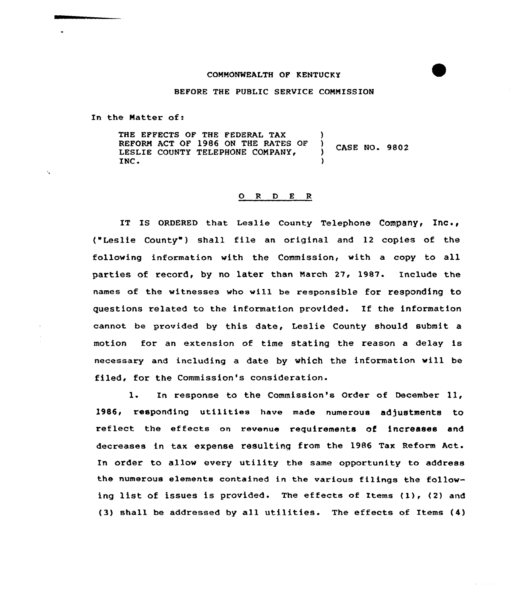## CONNONWEALTH OF KENTUCKY

## BEFORE THE PUBLIC SERUICE CONNISSION

In the Natter of:

 $\mathbf{r}_\mathbf{a}$ 

THE EFFECTS OF THE FEDERAL TAX REFORN ACT OF 1986 ON THE RATES OF LESLIE COUNTY TELEPHONE COMPANY, INC. ) CASE NO. 9802 )

## 0 <sup>R</sup> <sup>D</sup> E <sup>R</sup>

IT IS ORDERED that Leslie County Telephone Company,  $Inc.,$ {"Leslie County" ) shall file an original and 12 copies of the following information with the Commission, with a copy to all parties of record, by no later than Narch 27, 1987. Include the names of the witnesses who will be responsible for responding to questions related to the information provided. If the information cannot be provided by this date, Leslie County should submit a motion for an extension of time stating the reason a delay is necessary and including a date by which the information will be filed, for the Commission's consideration.

l. In response to the Commission's Order of December ll, 1986, responding utilities have made numerous adjustments to reflect the effects on revenue requirements of increases and decreases in tax expense resulting from the 1986 Tax Reform Act. In order to allow every utility the same opportunity to address the numerous elements contained in the various filings the following list of issues is provided. The effects of Items (1), (2) and {3) shall be addressed by all utilities. The effects of Items {4)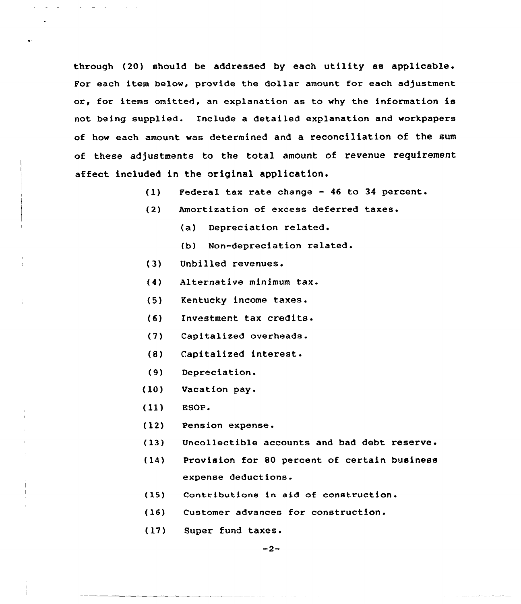through (20) should be addressed by each utility as applicable. For each item below, provide the dollar amount for each adjustment or, for items omitted, an explanation as to why the information is not being supplied. Include a detailed explanation and workpapers of how each amount was determined and a reconciliation of the sum of these adjustments to the total amount of revenue requirement affect included in the original application.

- Federal tax rate change 46 to 34 percent.  $(1)$
- $(2)$ Amortization of excess deferred taxes.
	- (a) Depreciation related.
	- (b) Non-depreciation related.
- (3) Unbilled revenues.
- Alternative minimum tax.  $(4)$
- (5) Kentucky income taxes.
- (6) Investment tax credits.
- (7) Capitalized overheads.
- (S) Capitalized interest.
- $(9)$ Depreciation.
- (10) Vacation pay.
- (ll) ESOP <sup>~</sup>
- (12) Pension expense.
- (13) Uncollectible accounts and bad debt reserve.
- $(14)$ Provision for 80 percent of certain business expense deductions.
- (15) Contributions in aid of construction.
- $(16)$ Customer advances for construction.
- (17) Super fund taxes.

 $-2-$